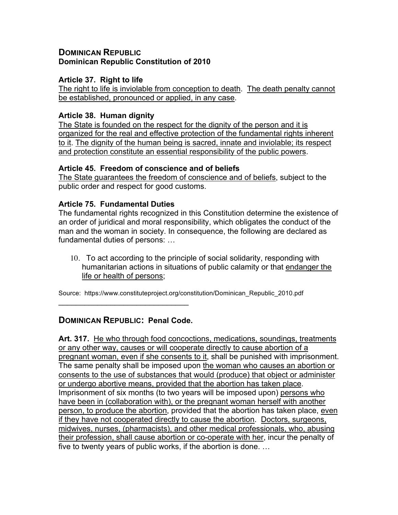## **DOMINICAN REPUBLIC Dominican Republic Constitution of 2010**

### **Article 37. Right to life**

The right to life is inviolable from conception to death. The death penalty cannot be established, pronounced or applied, in any case.

### **Article 38. Human dignity**

The State is founded on the respect for the dignity of the person and it is organized for the real and effective protection of the fundamental rights inherent to it. The dignity of the human being is sacred, innate and inviolable; its respect and protection constitute an essential responsibility of the public powers.

### **Article 45. Freedom of conscience and of beliefs**

The State guarantees the freedom of conscience and of beliefs, subject to the public order and respect for good customs.

# **Article 75. Fundamental Duties**

The fundamental rights recognized in this Constitution determine the existence of an order of juridical and moral responsibility, which obligates the conduct of the man and the woman in society. In consequence, the following are declared as fundamental duties of persons: …

10. To act according to the principle of social solidarity, responding with humanitarian actions in situations of public calamity or that endanger the life or health of persons;

Source: https://www.constituteproject.org/constitution/Dominican\_Republic\_2010.pdf

# **DOMINICAN REPUBLIC: Penal Code.**

 $\mathcal{L}_\text{max}$  , where  $\mathcal{L}_\text{max}$  and  $\mathcal{L}_\text{max}$ 

**Art. 317.** He who through food concoctions, medications, soundings, treatments or any other way, causes or will cooperate directly to cause abortion of a pregnant woman, even if she consents to it, shall be punished with imprisonment. The same penalty shall be imposed upon the woman who causes an abortion or consents to the use of substances that would (produce) that object or administer or undergo abortive means, provided that the abortion has taken place. Imprisonment of six months (to two years will be imposed upon) persons who have been in (collaboration with), or the pregnant woman herself with another person, to produce the abortion, provided that the abortion has taken place, even if they have not cooperated directly to cause the abortion. Doctors, surgeons, midwives, nurses, (pharmacists), and other medical professionals, who, abusing their profession, shall cause abortion or co-operate with her, incur the penalty of five to twenty years of public works, if the abortion is done. …